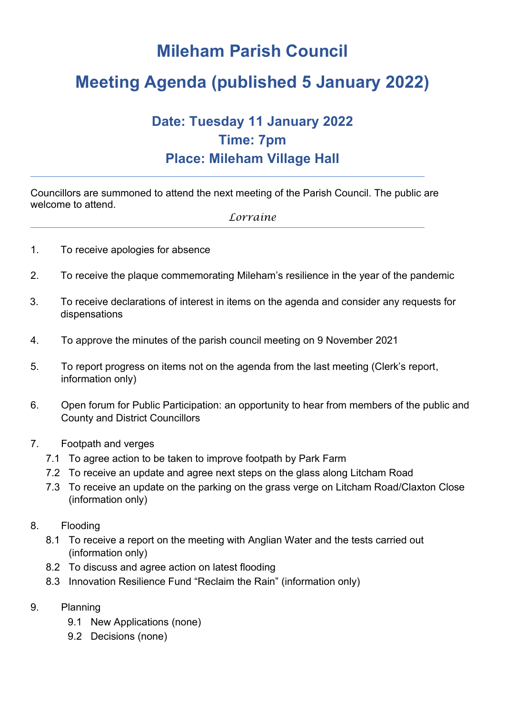## **Mileham Parish Council**

# **Meeting Agenda (published 5 January 2022)**

### **Date: Tuesday 11 January 2022 Time: 7pm Place: Mileham Village Hall**

Councillors are summoned to attend the next meeting of the Parish Council. The public are welcome to attend.

#### *Lorraine*

- 1. To receive apologies for absence
- 2. To receive the plaque commemorating Mileham's resilience in the year of the pandemic
- 3. To receive declarations of interest in items on the agenda and consider any requests for dispensations
- 4. To approve the minutes of the parish council meeting on 9 November 2021
- 5. To report progress on items not on the agenda from the last meeting (Clerk's report, information only)
- 6. Open forum for Public Participation: an opportunity to hear from members of the public and County and District Councillors
- 7. Footpath and verges
	- 7.1 To agree action to be taken to improve footpath by Park Farm
	- 7.2 To receive an update and agree next steps on the glass along Litcham Road
	- 7.3 To receive an update on the parking on the grass verge on Litcham Road/Claxton Close (information only)
- 8. Flooding
	- 8.1 To receive a report on the meeting with Anglian Water and the tests carried out (information only)
	- 8.2 To discuss and agree action on latest flooding
	- 8.3 Innovation Resilience Fund "Reclaim the Rain" (information only)
- 9. Planning
	- 9.1 New Applications (none)
	- 9.2 Decisions (none)